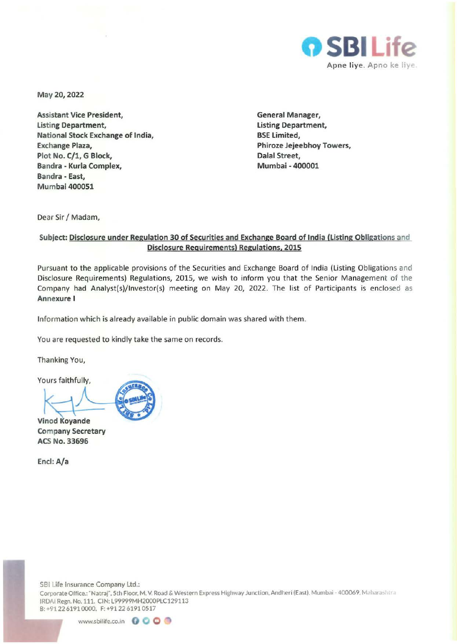

**May 20, 2022** 

**Assistant Vice President, listing Department, National Stock Exchange of India, Exchange Plaza,**  Plot No. C/1, G Block, **Bandra - Kurla Complex, Bandra - East, Mumbai 400051** 

**General Manager, listing Department, BSE limited, Phiroze Jejeebhoy Towers, Dalal Street, Mumbai - 400001** 

Dear Sir / Madam,

## **Subject: Disclosure under Regulation 30 of Securities and Exchange Board of India (listing Obligations and Disclosure Requirements) Regulations, 2015**

Pursuant to the applicable provisions of the Securities and Exchange Board of India {Listing Obligations and Disclosure Requirements) Regulations, 2015, we wish to inform you that the Senior Management of the Company had Analyst(s)/lnvestor{s) meeting on May 20, 2022. The list of Participants is enclosed as **Annexure I** 

Information which is already available in public domain was shared with them.

You are requested to kindly take the same on records.

Thanking You,

Yours faithfully,

**Vinod Kovande Company Secretary ACS No. 33696** 

**Encl: A/a**